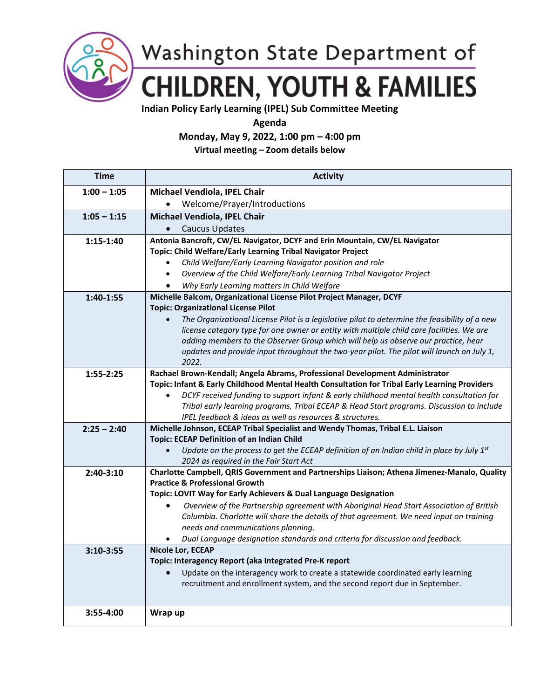

Washington State Department of **CHILDREN, YOUTH & FAMILIES** 

**Indian Policy Early Learning (IPEL) Sub Committee Meeting**

**Agenda** 

**Monday, May 9, 2022, 1:00 pm – 4:00 pm**

**Virtual meeting – Zoom details below**

| Time          | <b>Activity</b>                                                                                                                                                                            |
|---------------|--------------------------------------------------------------------------------------------------------------------------------------------------------------------------------------------|
| $1:00 - 1:05$ | Michael Vendiola, IPEL Chair                                                                                                                                                               |
|               | Welcome/Prayer/Introductions                                                                                                                                                               |
| $1:05 - 1:15$ | Michael Vendiola, IPEL Chair                                                                                                                                                               |
|               | Caucus Updates                                                                                                                                                                             |
| $1:15-1:40$   | Antonia Bancroft, CW/EL Navigator, DCYF and Erin Mountain, CW/EL Navigator                                                                                                                 |
|               | Topic: Child Welfare/Early Learning Tribal Navigator Project                                                                                                                               |
|               | Child Welfare/Early Learning Navigator position and role<br>$\bullet$                                                                                                                      |
|               | Overview of the Child Welfare/Early Learning Tribal Navigator Project<br>$\bullet$                                                                                                         |
|               | Why Early Learning matters in Child Welfare                                                                                                                                                |
| 1:40-1:55     | Michelle Balcom, Organizational License Pilot Project Manager, DCYF                                                                                                                        |
|               | <b>Topic: Organizational License Pilot</b>                                                                                                                                                 |
|               | The Organizational License Pilot is a legislative pilot to determine the feasibility of a new<br>license category type for one owner or entity with multiple child care facilities. We are |
|               | adding members to the Observer Group which will help us observe our practice, hear                                                                                                         |
|               | updates and provide input throughout the two-year pilot. The pilot will launch on July 1,                                                                                                  |
|               | 2022.                                                                                                                                                                                      |
| $1:55 - 2:25$ | Rachael Brown-Kendall; Angela Abrams, Professional Development Administrator                                                                                                               |
|               | Topic: Infant & Early Childhood Mental Health Consultation for Tribal Early Learning Providers                                                                                             |
|               | DCYF received funding to support infant & early childhood mental health consultation for                                                                                                   |
|               | Tribal early learning programs, Tribal ECEAP & Head Start programs. Discussion to include                                                                                                  |
|               | IPEL feedback & ideas as well as resources & structures.                                                                                                                                   |
| $2:25 - 2:40$ | Michelle Johnson, ECEAP Tribal Specialist and Wendy Thomas, Tribal E.L. Liaison<br><b>Topic: ECEAP Definition of an Indian Child</b>                                                       |
|               | Update on the process to get the ECEAP definition of an Indian child in place by July $1^{st}$<br>$\bullet$                                                                                |
|               | 2024 as required in the Fair Start Act                                                                                                                                                     |
| $2:40-3:10$   | Charlotte Campbell, QRIS Government and Partnerships Liaison; Athena Jimenez-Manalo, Quality                                                                                               |
|               | <b>Practice &amp; Professional Growth</b>                                                                                                                                                  |
|               | Topic: LOVIT Way for Early Achievers & Dual Language Designation                                                                                                                           |
|               | Overview of the Partnership agreement with Aboriginal Head Start Association of British                                                                                                    |
|               | Columbia. Charlotte will share the details of that agreement. We need input on training                                                                                                    |
|               | needs and communications planning.                                                                                                                                                         |
|               | Dual Language designation standards and criteria for discussion and feedback.                                                                                                              |
| $3:10-3:55$   | <b>Nicole Lor, ECEAP</b><br>Topic: Interagency Report (aka Integrated Pre-K report                                                                                                         |
|               | Update on the interagency work to create a statewide coordinated early learning<br>$\bullet$                                                                                               |
|               | recruitment and enrollment system, and the second report due in September.                                                                                                                 |
|               |                                                                                                                                                                                            |
|               |                                                                                                                                                                                            |
| $3:55-4:00$   | Wrap up                                                                                                                                                                                    |